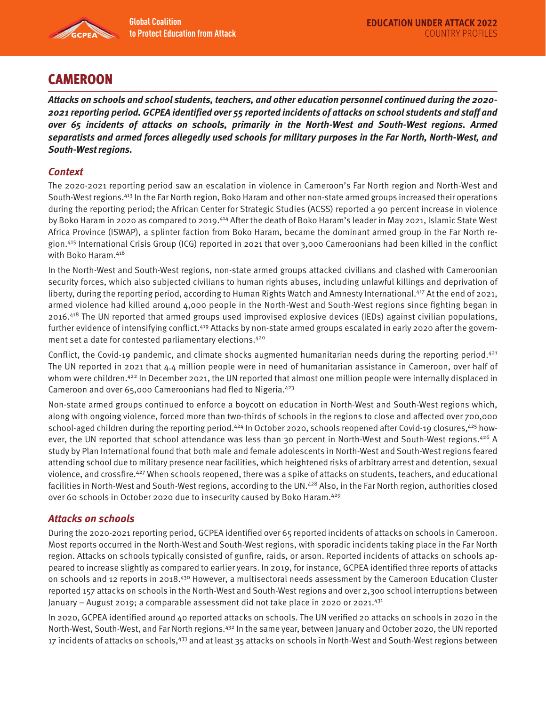

# **CAMEROON**

**Attacks on schools and school students, teachers, and other education personnel continued during the 2020- 2021 reporting period. GCPEA identified over 55 reported incidents of attacks on school students and staff and over 65 incidents of attacks on schools, primarily in the North-West and South-West regions. Armed separatists and armed forces allegedly used schools for military purposes in the Far North, North-West, and South-West regions.** 

### **Context**

The 2020-2021 reporting period saw an escalation in violence in Cameroon's Far North region and North-West and South-West regions.413 In the Far North region, Boko Haram and other non-state armed groups increased their operations during the reporting period; the African Center for Strategic Studies (ACSS) reported a 90 percent increase in violence by Boko Haram in 2020 as compared to 2019.414 After the death of Boko Haram's leader in May 2021, Islamic State West Africa Province (ISWAP), a splinter faction from Boko Haram, became the dominant armed group in the Far North region.415 International Crisis Group (ICG) reported in 2021 that over 3,000 Cameroonians had been killed in the conflict with Boko Haram.416

In the North-West and South-West regions, non-state armed groups attacked civilians and clashed with Cameroonian security forces, which also subjected civilians to human rights abuses, including unlawful killings and deprivation of liberty, during the reporting period, according to Human Rights Watch and Amnesty International.417 At the end of 2021, armed violence had killed around 4,000 people in the North-West and South-West regions since fighting began in 2016.418 The UN reported that armed groups used improvised explosive devices (IEDs) against civilian populations, further evidence of intensifying conflict.419 Attacks by non-state armed groups escalated in early 2020 after the government set a date for contested parliamentary elections.420

Conflict, the Covid-19 pandemic, and climate shocks augmented humanitarian needs during the reporting period.<sup>421</sup> The UN reported in 2021 that 4.4 million people were in need of humanitarian assistance in Cameroon, over half of whom were children.<sup>422</sup> In December 2021, the UN reported that almost one million people were internally displaced in Cameroon and over 65,000 Cameroonians had fled to Nigeria.423

Non-state armed groups continued to enforce a boycott on education in North-West and South-West regions which, along with ongoing violence, forced more than two-thirds of schools in the regions to close and affected over 700,000 school-aged children during the reporting period.<sup>424</sup> In October 2020, schools reopened after Covid-19 closures,<sup>425</sup> however, the UN reported that school attendance was less than 30 percent in North-West and South-West regions.<sup>426</sup> A study by Plan International found that both male and female adolescents in North-West and South-West regions feared attending school due to military presence near facilities, which heightened risks of arbitrary arrest and detention, sexual violence, and crossfire.427 When schools reopened, there was a spike of attacks on students, teachers, and educational facilities in North-West and South-West regions, according to the UN.<sup>428</sup> Also, in the Far North region, authorities closed over 60 schools in October 2020 due to insecurity caused by Boko Haram.429

## **Attacks on schools**

During the 2020-2021 reporting period, GCPEA identified over 65 reported incidents of attacks on schools in Cameroon. Most reports occurred in the North-West and South-West regions, with sporadic incidents taking place in the Far North region. Attacks on schools typically consisted of gunfire, raids, or arson. Reported incidents of attacks on schools appeared to increase slightly as compared to earlier years. In 2019, for instance, GCPEA identified three reports of attacks on schools and 12 reports in 2018.430 However, a multisectoral needs assessment by the Cameroon Education Cluster reported 157 attacks on schools in the North-West and South-West regions and over 2,300 school interruptions between January - August 2019; a comparable assessment did not take place in 2020 or 2021.<sup>431</sup>

In 2020, GCPEA identified around 40 reported attacks on schools. The UN verified 20 attacks on schools in 2020 in the North-West, South-West, and Far North regions.432 In the same year, between January and October 2020, the UN reported 17 incidents of attacks on schools,<sup>433</sup> and at least 35 attacks on schools in North-West and South-West regions between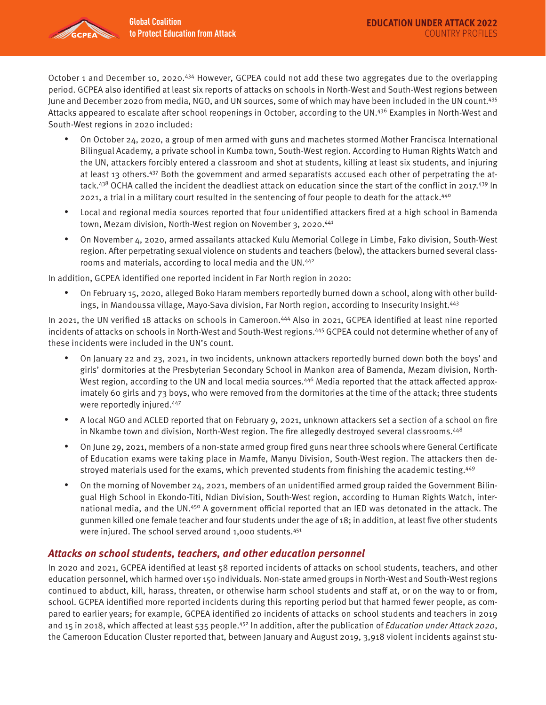

October 1 and December 10, 2020.<sup>434</sup> However, GCPEA could not add these two aggregates due to the overlapping period. GCPEA also identified at least six reports of attacks on schools in North-West and South-West regions between June and December 2020 from media, NGO, and UN sources, some of which may have been included in the UN count.435 Attacks appeared to escalate after school reopenings in October, according to the UN.<sup>436</sup> Examples in North-West and South-West regions in 2020 included:

- On October 24, 2020, a group of men armed with guns and machetes stormed Mother Francisca International Bilingual Academy, a private school in Kumba town, South-West region. According to Human Rights Watch and the UN, attackers forcibly entered a classroom and shot at students, killing at least six students, and injuring at least 13 others.<sup>437</sup> Both the government and armed separatists accused each other of perpetrating the attack.<sup>438</sup> OCHA called the incident the deadliest attack on education since the start of the conflict in 2017.<sup>439</sup> In 2021, a trial in a military court resulted in the sentencing of four people to death for the attack.<sup>440</sup>
- Local and regional media sources reported that four unidentified attackers fired at a high school in Bamenda town, Mezam division, North-West region on November 3, 2020.<sup>441</sup>
- On November 4, 2020, armed assailants attacked Kulu Memorial College in Limbe, Fako division, South-West region. After perpetrating sexual violence on students and teachers (below), the attackers burned several classrooms and materials, according to local media and the UN.442

In addition, GCPEA identified one reported incident in Far North region in 2020:

• On February 15, 2020, alleged Boko Haram members reportedly burned down a school, along with other buildings, in Mandoussa village, Mayo-Sava division, Far North region, according to Insecurity Insight.443

In 2021, the UN verified 18 attacks on schools in Cameroon.444 Also in 2021, GCPEA identified at least nine reported incidents of attacks on schools in North-West and South-West regions.445 GCPEA could not determine whether of any of these incidents were included in the UN's count.

- On January 22 and 23, 2021, in two incidents, unknown attackers reportedly burned down both the boys' and girls' dormitories at the Presbyterian Secondary School in Mankon area of Bamenda, Mezam division, North-West region, according to the UN and local media sources.<sup>446</sup> Media reported that the attack affected approximately 60 girls and 73 boys, who were removed from the dormitories at the time of the attack; three students were reportedly injured.447
- A local NGO and ACLED reported that on February 9, 2021, unknown attackers set a section of a school on fire in Nkambe town and division, North-West region. The fire allegedly destroyed several classrooms.<sup>448</sup>
- On June 29, 2021, members of a non-state armed group fired guns near three schools where General Certificate of Education exams were taking place in Mamfe, Manyu Division, South-West region. The attackers then destroyed materials used for the exams, which prevented students from finishing the academic testing.449
- On the morning of November 24, 2021, members of an unidentified armed group raided the Government Bilingual High School in Ekondo-Titi, Ndian Division, South-West region, according to Human Rights Watch, international media, and the UN.<sup>450</sup> A government official reported that an IED was detonated in the attack. The gunmen killed one female teacher and four students under the age of 18; in addition, at least five other students were injured. The school served around 1,000 students.451

## **Attacks on school students, teachers, and other education personnel**

In 2020 and 2021, GCPEA identified at least 58 reported incidents of attacks on school students, teachers, and other education personnel, which harmed over 150 individuals. Non-state armed groups in North-West and South-West regions continued to abduct, kill, harass, threaten, or otherwise harm school students and staff at, or on the way to or from, school. GCPEA identified more reported incidents during this reporting period but that harmed fewer people, as compared to earlier years; for example, GCPEA identified 20 incidents of attacks on school students and teachers in 2019 and 15 in 2018, which affected at least 535 people.<sup>452</sup> In addition, after the publication of *Education under Attack 2020*, the Cameroon Education Cluster reported that, between January and August 2019, 3,918 violent incidents against stu-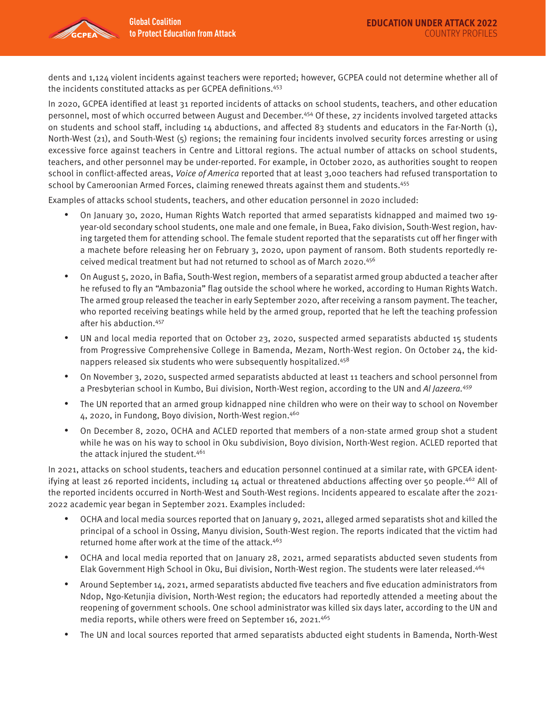

dents and 1,124 violent incidents against teachers were reported; however, GCPEA could not determine whether all of the incidents constituted attacks as per GCPEA definitions.453

In 2020, GCPEA identified at least 31 reported incidents of attacks on school students, teachers, and other education personnel, most of which occurred between August and December.454 Of these, 27 incidents involved targeted attacks on students and school staff, including 14 abductions, and affected 83 students and educators in the Far-North (1), North-West (21), and South-West (5) regions; the remaining four incidents involved security forces arresting or using excessive force against teachers in Centre and Littoral regions. The actual number of attacks on school students, teachers, and other personnel may be under-reported. For example, in October 2020, as authorities sought to reopen school in conflict-affected areas, *Voice of America* reported that at least 3,000 teachers had refused transportation to school by Cameroonian Armed Forces, claiming renewed threats against them and students.455

Examples of attacks school students, teachers, and other education personnel in 2020 included:

- On January 30, 2020, Human Rights Watch reported that armed separatists kidnapped and maimed two 19 year-old secondary school students, one male and one female, in Buea, Fako division, South-West region, having targeted them for attending school. The female student reported that the separatists cut off her finger with a machete before releasing her on February 3, 2020, upon payment of ransom. Both students reportedly received medical treatment but had not returned to school as of March 2020.456
- On August 5, 2020, in Bafia, South-West region, members of a separatist armed group abducted a teacher after he refused to fly an "Ambazonia" flag outside the school where he worked, according to Human Rights Watch. The armed group released the teacher in early September 2020, after receiving a ransom payment. The teacher, who reported receiving beatings while held by the armed group, reported that he left the teaching profession after his abduction.457
- UN and local media reported that on October 23, 2020, suspected armed separatists abducted 15 students from Progressive Comprehensive College in Bamenda, Mezam, North-West region. On October 24, the kidnappers released six students who were subsequently hospitalized.458
- On November 3, 2020, suspected armed separatists abducted at least 11 teachers and school personnel from a Presbyterian school in Kumbo, Bui division, North-West region, according to the UN and Al Jazeera.<sup>459</sup>
- The UN reported that an armed group kidnapped nine children who were on their way to school on November 4, 2020, in Fundong, Boyo division, North-West region.460
- On December 8, 2020, OCHA and ACLED reported that members of a non-state armed group shot a student while he was on his way to school in Oku subdivision, Boyo division, North-West region. ACLED reported that the attack injured the student.<sup>461</sup>

In 2021, attacks on school students, teachers and education personnel continued at a similar rate, with GPCEA identifying at least 26 reported incidents, including 14 actual or threatened abductions affecting over 50 people.<sup>462</sup> All of the reported incidents occurred in North-West and South-West regions. Incidents appeared to escalate after the 2021- 2022 academic year began in September 2021. Examples included:

- OCHA and local media sources reported that on January 9, 2021, alleged armed separatists shot and killed the principal of a school in Ossing, Manyu division, South-West region. The reports indicated that the victim had returned home after work at the time of the attack.463
- OCHA and local media reported that on January 28, 2021, armed separatists abducted seven students from Elak Government High School in Oku, Bui division, North-West region. The students were later released.464
- Around September 14, 2021, armed separatists abducted five teachers and five education administrators from Ndop, Ngo-Ketunjia division, North-West region; the educators had reportedly attended a meeting about the reopening of government schools. One school administrator was killed six days later, according to the UN and media reports, while others were freed on September 16, 2021.<sup>465</sup>
- The UN and local sources reported that armed separatists abducted eight students in Bamenda, North-West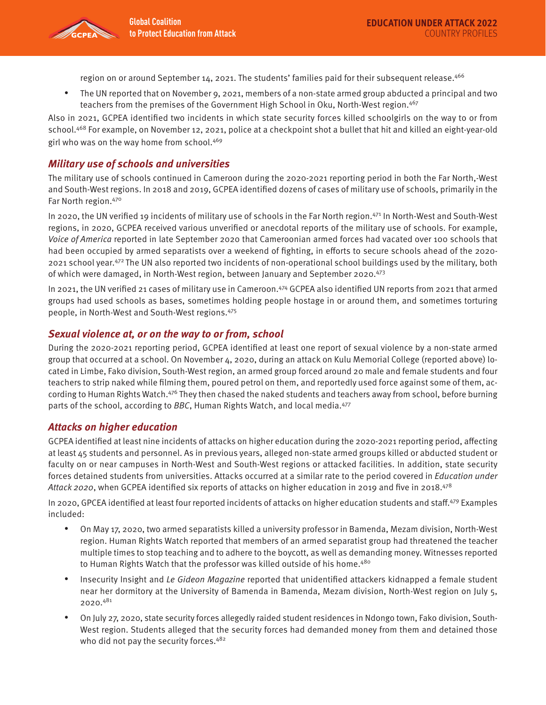region on or around September 14, 2021. The students' families paid for their subsequent release.<sup>466</sup>

• The UN reported that on November 9, 2021, members of a non-state armed group abducted a principal and two teachers from the premises of the Government High School in Oku, North-West region.467

Also in 2021, GCPEA identified two incidents in which state security forces killed schoolgirls on the way to or from school.468 For example, on November 12, 2021, police at a checkpoint shot a bullet that hit and killed an eight-year-old girl who was on the way home from school.<sup>469</sup>

#### **Military use of schools and universities**

The military use of schools continued in Cameroon during the 2020-2021 reporting period in both the Far North,-West and South-West regions. In 2018 and 2019, GCPEA identified dozens of cases of military use of schools, primarily in the Far North region. 470

In 2020, the UN verified 19 incidents of military use of schools in the Far North region.<sup>471</sup> In North-West and South-West regions, in 2020, GCPEA received various unverified or anecdotal reports of the military use of schools. For example, Voice of America reported in late September 2020 that Cameroonian armed forces had vacated over 100 schools that had been occupied by armed separatists over a weekend of fighting, in efforts to secure schools ahead of the 2020- 2021 school year.472 The UN also reported two incidents of non-operational school buildings used by the military, both of which were damaged, in North-West region, between January and September 2020.473

In 2021, the UN verified 21 cases of military use in Cameroon.474 GCPEA also identified UN reports from 2021 that armed groups had used schools as bases, sometimes holding people hostage in or around them, and sometimes torturing people, in North-West and South-West regions.475

#### **Sexual violence at, or on the way to or from, school**

During the 2020-2021 reporting period, GCPEA identified at least one report of sexual violence by a non-state armed group that occurred at a school. On November 4, 2020, during an attack on Kulu Memorial College (reported above) located in Limbe, Fako division, South-West region, an armed group forced around 20 male and female students and four teachers to strip naked while filming them, poured petrol on them, and reportedly used force against some of them, according to Human Rights Watch.476 They then chased the naked students and teachers away from school, before burning parts of the school, according to BBC, Human Rights Watch, and local media.<sup>477</sup>

#### **Attacks on higher education**

GCPEA identified at least nine incidents of attacks on higher education during the 2020-2021 reporting period, affecting at least 45 students and personnel. As in previous years, alleged non-state armed groups killed or abducted student or faculty on or near campuses in North-West and South-West regions or attacked facilities. In addition, state security forces detained students from universities. Attacks occurred at a similar rate to the period covered in Education under Attack 2020, when GCPEA identified six reports of attacks on higher education in 2019 and five in 2018.<sup>478</sup>

In 2020, GPCEA identified at least four reported incidents of attacks on higher education students and staff.479 Examples included:

- On May 17, 2020, two armed separatists killed a university professor in Bamenda, Mezam division, North-West region. Human Rights Watch reported that members of an armed separatist group had threatened the teacher multiple times to stop teaching and to adhere to the boycott, as well as demanding money. Witnesses reported to Human Rights Watch that the professor was killed outside of his home.<sup>480</sup>
- Insecurity Insight and Le Gideon Magazine reported that unidentified attackers kidnapped a female student near her dormitory at the University of Bamenda in Bamenda, Mezam division, North-West region on July 5, 2020.481
- On July 27, 2020, state security forces allegedly raided student residences in Ndongo town, Fako division, South-West region. Students alleged that the security forces had demanded money from them and detained those who did not pay the security forces.<sup>482</sup>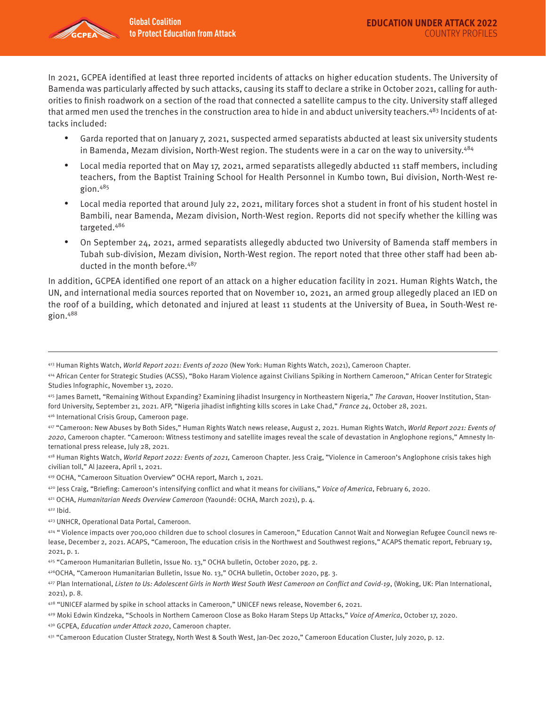

In 2021, GCPEA identified at least three reported incidents of attacks on higher education students. The University of Bamenda was particularly affected by such attacks, causing its staff to declare a strike in October 2021, calling for authorities to finish roadwork on a section of the road that connected a satellite campus to the city. University staff alleged that armed men used the trenches in the construction area to hide in and abduct university teachers.<sup>483</sup> Incidents of attacks included:

- Garda reported that on January 7, 2021, suspected armed separatists abducted at least six university students in Bamenda, Mezam division, North-West region. The students were in a car on the way to university.<sup>484</sup>
- Local media reported that on May 17, 2021, armed separatists allegedly abducted 11 staff members, including teachers, from the Baptist Training School for Health Personnel in Kumbo town, Bui division, North-West region. $485$
- Local media reported that around July 22, 2021, military forces shot a student in front of his student hostel in Bambili, near Bamenda, Mezam division, North-West region. Reports did not specify whether the killing was targeted.486
- On September 24, 2021, armed separatists allegedly abducted two University of Bamenda staff members in Tubah sub-division, Mezam division, North-West region. The report noted that three other staff had been abducted in the month before.<sup>487</sup>

In addition, GCPEA identified one report of an attack on a higher education facility in 2021. Human Rights Watch, the UN, and international media sources reported that on November 10, 2021, an armed group allegedly placed an IED on the roof of a building, which detonated and injured at least 11 students at the University of Buea, in South-West region.488

- 415 James Barnett, "Remaining Without Expanding? Examining Jihadist Insurgency in Northeastern Nigeria," The Caravan, Hoover Institution, Stanford University, September 21, 2021. AFP, "Nigeria jihadist infighting kills scores in Lake Chad," France 24, October 28, 2021.
- 416 International Crisis Group, Cameroon page.
- 417 "Cameroon: New Abuses by Both Sides," Human Rights Watch news release, August 2, 2021. Human Rights Watch, World Report 2021: Events of 2020, Cameroon chapter. "Cameroon: Witness testimony and satellite images reveal the scale of devastation in Anglophone regions," Amnesty International press release, July 28, 2021.

418 Human Rights Watch, World Report 2022: Events of 2021, Cameroon Chapter. Jess Craig, "Violence in Cameroon's Anglophone crisis takes high civilian toll," Al Jazeera, April 1, 2021.

- 419 OCHA, "Cameroon Situation Overview" OCHA report, March 1, 2021.
- 420 Jess Craig, "Briefing: Cameroon's intensifying conflict and what it means for civilians," Voice of America, February 6, 2020.

421 OCHA, Humanitarian Needs Overview Cameroon (Yaoundé: OCHA, March 2021), p. 4.

422 Ibid.

423 UNHCR, Operational Data Portal, Cameroon.

425 "Cameroon Humanitarian Bulletin, Issue No. 13," OCHA bulletin, October 2020, pg. 2.

426 OCHA, "Cameroon Humanitarian Bulletin, Issue No. 13," OCHA bulletin, October 2020, pg. 3.

427 Plan International, Listen to Us: Adolescent Girls in North West South West Cameroon on Conflict and Covid-19, (Woking, UK: Plan International, 2021), p. 8.

43º GCPEA, Education under Attack 2020, Cameroon chapter.

<sup>413</sup> Human Rights Watch, World Report 2021: Events of 2020 (New York: Human Rights Watch, 2021), Cameroon Chapter.

<sup>414</sup> African Center for Strategic Studies (ACSS), "Boko Haram Violence against Civilians Spiking in Northern Cameroon," African Center for Strategic Studies Infographic, November 13, 2020.

<sup>424 &</sup>quot;Violence impacts over 700,000 children due to school closures in Cameroon," Education Cannot Wait and Norwegian Refugee Council news release, December 2, 2021. ACAPS, "Cameroon, The education crisis in the Northwest and Southwest regions," ACAPS thematic report, February 19, 2021, p. 1.

<sup>428 &</sup>quot;UNICEF alarmed by spike in school attacks in Cameroon," UNICEF news release, November 6, 2021.

<sup>429</sup> Moki Edwin Kindzeka, "Schools in Northern Cameroon Close as Boko Haram Steps Up Attacks," Voice of America, October 17, 2020.

<sup>431 &</sup>quot;Cameroon Education Cluster Strategy, North West & South West, Jan-Dec 2020," Cameroon Education Cluster, July 2020, p. 12.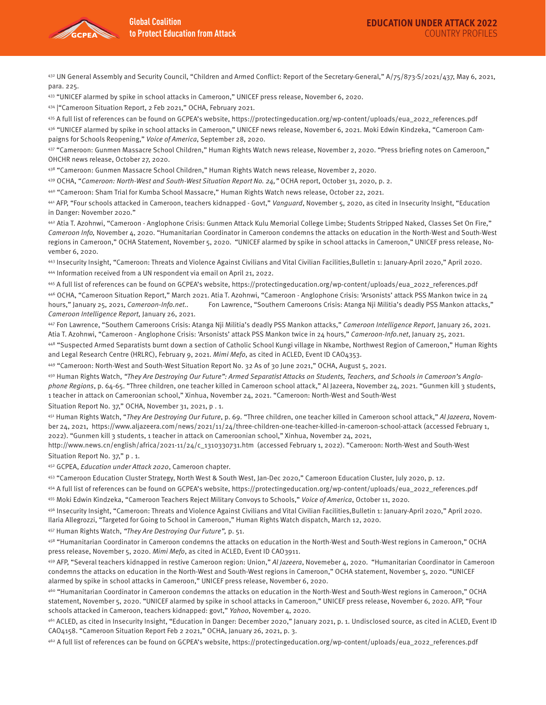

432 UN General Assembly and Security Council, "Children and Armed Conflict: Report of the Secretary-General," A/75/873-S/2021/437, May 6, 2021, para. 225.

433 "UNICEF alarmed by spike in school attacks in Cameroon," UNICEF press release, November 6, 2020.

434 |"Cameroon Situation Report, 2 Feb 2021," OCHA, February 2021.

435 A full list of references can be found on GCPEA's website, [https://protectingeducation.org/wp-content/uploads/eua\\_2022\\_references.pdf](https://protectingeducation.org/wp-content/uploads/eua_2022_references.pdf)  436 "UNICEF alarmed by spike in school attacks in Cameroon," UNICEF news release, November 6, 2021. Moki Edwin Kindzeka, "Cameroon Campaigns for Schools Reopening," Voice of America, September 28, 2020.

437 "Cameroon: Gunmen Massacre School Children," Human Rights Watch news release, November 2, 2020. "Press briefing notes on Cameroon," OHCHR news release, October 27, 2020.

438 "Cameroon: Gunmen Massacre School Children," Human Rights Watch news release, November 2, 2020.

439 OCHA, "Cameroon: North-West and South-West Situation Report No. 24," OCHA report, October 31, 2020, p. 2.

440 "Cameroon: Sham Trial for Kumba School Massacre," Human Rights Watch news release, October 22, 2021.

441 AFP, "Four schools attacked in Cameroon, teachers kidnapped - Govt," Vanguard, November 5, 2020, as cited in Insecurity Insight, "Education in Danger: November 2020."

442 Atia T. Azohnwi, "Cameroon - Anglophone Crisis: Gunmen Attack Kulu Memorial College Limbe; Students Stripped Naked, Classes Set On Fire," Cameroon Info, November 4, 2020. "Humanitarian Coordinator in Cameroon condemns the attacks on education in the North-West and South-West regions in Cameroon," OCHA Statement, November 5, 2020. "UNICEF alarmed by spike in school attacks in Cameroon," UNICEF press release, November 6, 2020.

443 Insecurity Insight, "Cameroon: Threats and Violence Against Civilians and Vital Civilian Facilities,Bulletin 1: January-April 2020," April 2020. 444 Information received from a UN respondent via email on April 21, 2022.

445 A full list of references can be found on GCPEA's website, [https://protectingeducation.org/wp-content/uploads/eua\\_2022\\_references.pdf](https://protectingeducation.org/wp-content/uploads/eua_2022_references.pdf)  446 OCHA, "Cameroon Situation Report," March 2021. Atia T. Azohnwi, "Cameroon - Anglophone Crisis: 'Arsonists' attack PSS Mankon twice in 24 hours," January 25, 2021, Cameroon-Info.net.. Fon Lawrence, "Southern Cameroons Crisis: Atanga Nji Militia's deadly PSS Mankon attacks," Cameroon Intelligence Report, January 26, 2021.

447 Fon Lawrence, "Southern Cameroons Crisis: Atanga Nji Militia's deadly PSS Mankon attacks," Cameroon Intelligence Report, January 26, 2021. Atia T. Azohnwi, "Cameroon - Anglophone Crisis: 'Arsonists' attack PSS Mankon twice in 24 hours," Cameroon-Info.net, January 25, 2021.

448 "Suspected Armed Separatists burnt down a section of Catholic School Kungi village in Nkambe, Northwest Region of Cameroon," Human Rights and Legal Research Centre (HRLRC), February 9, 2021. Mimi Mefo, as cited in ACLED, Event ID CAO4353.

449 "Cameroon: North-West and South-West Situation Report No. 32 As of 30 June 2021," OCHA, August 5, 2021.

450 Human Rights Watch, "They Are Destroying Our Future": Armed Separatist Attacks on Students, Teachers, and Schools in Cameroon's Anglophone Regions, p. 64-65. "Three children, one teacher killed in Cameroon school attack," Al Jazeera, November 24, 2021. "Gunmen kill 3 students, 1 teacher in attack on Cameroonian school," Xinhua, November 24, 2021. "Cameroon: North-West and South-West

Situation Report No. 37," OCHA, November 31, 2021, p . 1.

451 Human Rights Watch, "They Are Destroying Our Future, p. 69. "Three children, one teacher killed in Cameroon school attack," Al Jazeera, November 24, 2021, <https://www.aljazeera.com/news/2021/11/24/three-children-one-teacher-killed-in-cameroon-school-attack>(accessed February 1, 2022). "Gunmen kill 3 students, 1 teacher in attack on Cameroonian school," Xinhua, November 24, 2021,

[http://www.news.cn/english/africa/2021-11/24/c\\_1310330731.htm](http://www.news.cn/english/africa/2021-11/24/c_1310330731.htm) (accessed February 1, 2022). "Cameroon: North-West and South-West Situation Report No. 37," p . 1.

452 GCPEA, Education under Attack 2020, Cameroon chapter.

453 "Cameroon Education Cluster Strategy, North West & South West, Jan-Dec 2020," Cameroon Education Cluster, July 2020, p. 12.

454 A full list of references can be found on GCPEA's website, [https://protectingeducation.org/wp-content/uploads/eua\\_2022\\_references.pdf](https://undocs.org/a/74/l.66)  455 Moki Edwin Kindzeka, "Cameroon Teachers Reject Military Convoys to Schools," Voice of America, October 11, 2020.

456 Insecurity Insight, "Cameroon: Threats and Violence Against Civilians and Vital Civilian Facilities,Bulletin 1: January-April 2020," April 2020. Ilaria Allegrozzi, "Targeted for Going to School in Cameroon," Human Rights Watch dispatch, March 12, 2020.

457 Human Rights Watch, "They Are Destroying Our Future", p. 51.

458 "Humanitarian Coordinator in Cameroon condemns the attacks on education in the North-West and South-West regions in Cameroon," OCHA press release, November 5, 2020. Mimi Mefo, as cited in ACLED, Event ID CAO3911.

459 AFP, "Several teachers kidnapped in restive Cameroon region: Union," Al Jazeera, Novemeber 4, 2020. "Humanitarian Coordinator in Cameroon condemns the attacks on education in the North-West and South-West regions in Cameroon," OCHA statement, November 5, 2020. "UNICEF alarmed by spike in school attacks in Cameroon," UNICEF press release, November 6, 2020.

460 "Humanitarian Coordinator in Cameroon condemns the attacks on education in the North-West and South-West regions in Cameroon," OCHA statement, November 5, 2020. "UNICEF alarmed by spike in school attacks in Cameroon," UNICEF press release, November 6, 2020. AFP, "Four schools attacked in Cameroon, teachers kidnapped: govt," Yahoo, November 4, 2020.

461 ACLED, as cited in Insecurity Insight, "Education in Danger: December 2020," January 2021, p. 1. Undisclosed source, as cited in ACLED, Event ID CAO4158. "Cameroon Situation Report Feb 2 2021," OCHA, January 26, 2021, p. 3.

462 A full list of references can be found on GCPEA's website, [https://protectingeducation.org/wp-content/uploads/eua\\_2022\\_references.pdf](https://protectingeducation-my.sharepoi)